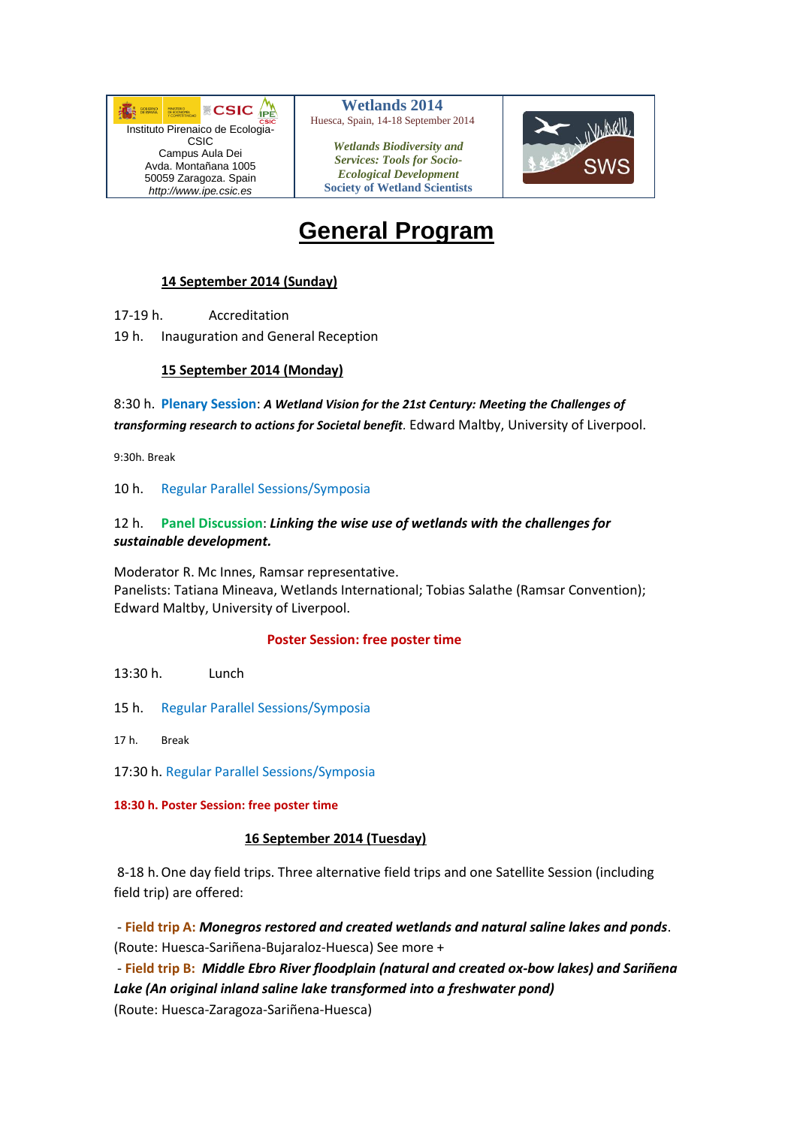

 **Wetlands 2014** Huesca, Spain, 14-18 September 2014

*Wetlands Biodiversity and Services: Tools for Socio-Ecological Development* **Society of Wetland Scientists**



# **General Program**

# **14 September 2014 (Sunday)**

17-19 h. Accreditation

19 h. Inauguration and General Reception

#### **15 September 2014 (Monday)**

8:30 h. **Plenary Session**: *A Wetland Vision for the 21st Century: Meeting the Challenges of transforming research to actions for Societal benefit.* Edward Maltby, University of Liverpool.

9:30h. Break

10 h. Regular Parallel Sessions/Symposia

# 12 h. **Panel Discussion**: *Linking the wise use of wetlands with the challenges for sustainable development.*

Moderator R. Mc Innes, Ramsar representative. Panelists: Tatiana Mineava, Wetlands International; Tobias Salathe (Ramsar Convention); Edward Maltby, University of Liverpool.

#### **Poster Session: free poster time**

13:30 h. Lunch

- 15 h. Regular Parallel Sessions/Symposia
- 17 h. Break
- 17:30 h. Regular Parallel Sessions/Symposia

**18:30 h. Poster Session: free poster time**

#### **16 September 2014 (Tuesday)**

8-18 h.One day field trips. Three alternative field trips and one Satellite Session (including field trip) are offered:

- **Field trip A:** *Monegros restored and created wetlands and natural saline lakes and ponds*. (Route: Huesca-Sariñena-Bujaraloz-Huesca) See more +

- **Field trip B:** *Middle Ebro River floodplain (natural and created ox-bow lakes) and Sariñena Lake (An original inland saline lake transformed into a freshwater pond)* (Route: Huesca-Zaragoza-Sariñena-Huesca)